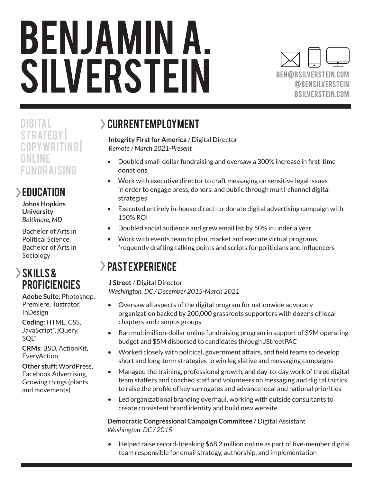# BENJAMIN A. SILVERSTEIN



**DIGITAL STRATEGY** CO PYWRITING O N LI N E FUNDRAISING

### EDUCATION

**Johns Hopkins University** *Baltimore, MD* 

Bachelor of Arts in Political Science, Bachelor of Arts in Sociology

#### Skills & **PROFICIENCIES**

**Adobe Suite**: Photoshop, Premiere, llustrator, InDesign

**Coding**: HTML, CSS, JavaScript\*, jQuery, SQL\*

**CRMs**: BSD, ActionKit, EveryAction

**Other stuff:** WordPress, Facebook Advertising, Growing things (plants and movements)

## $\geq$  CURRENT EMPLOYMENT

**Integrity First for America** / Digital Director *Remote / March 2021-Present*

- Doubled small-dollar fundraising and oversaw a 300% increase in first-time donations
- Work with executive director to craft messaging on sensitive legal issues in order to engage press, donors, and public through multi-channel digital strategies
- Executed entirely in-house direct-to-donate digital advertising campaign with 150% ROI
- Doubled social audience and grew email list by 50% in under a year
- Work with events team to plan, market and execute virtual programs, frequently drafting talking points and scripts for politicians and influencers

## > PAST EXPERIENCE

**J Street** / Digital Director *Washington, DC / December 2015-March 2021*

- Oversaw all aspects of the digital program for nationwide advocacy organization backed by 200,000 grassroots supporters with dozens of local chapters and campus groups
- Ran multimillion-dollar online fundraising program in support of \$9M operating budget and \$5M disbursed to candidates through JStreetPAC
- Worked closely with political, government affairs, and field teams to develop short and long-term strategies to win legislative and messaging campaigns
- Managed the training, professional growth, and day-to-day work of three digital team staffers and coached staff and volunteers on messaging and digital tactics to raise the profile of key surrogates and advance local and national priorities
- Led organizational branding overhaul, working with outside consultants to create consistent brand identity and build new website

**Democratic Congressional Campaign Committee** / Digital Assistant *Washington, DC / 2015*

• Helped raise record-breaking \$68.2 million online as part of five-member digital team responsible for email strategy, authorship, and implementation